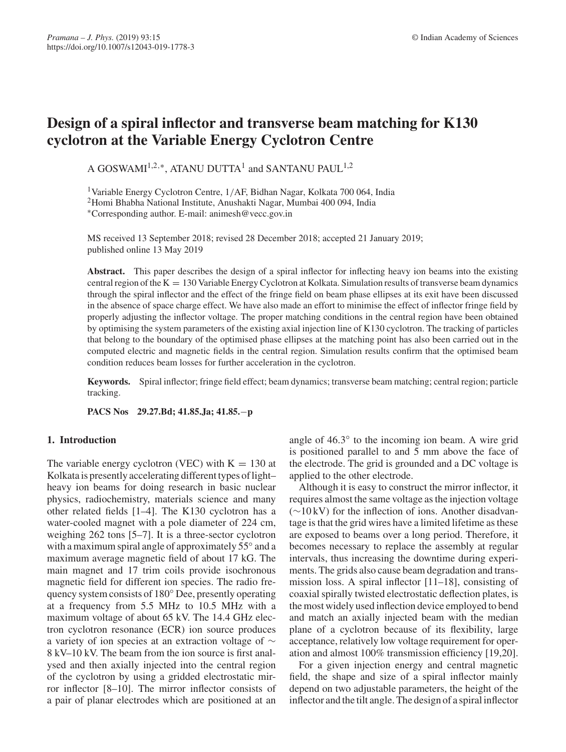# **Design of a spiral inflector and transverse beam matching for K130 cyclotron at the Variable Energy Cyclotron Centre**

A GOSWAMI<sup>1,2,∗</sup>, ATANU DUTTA<sup>1</sup> and SANTANU PAUL<sup>1,2</sup>

1Variable Energy Cyclotron Centre, 1/AF, Bidhan Nagar, Kolkata 700 064, India 2Homi Bhabha National Institute, Anushakti Nagar, Mumbai 400 094, India ∗Corresponding author. E-mail: animesh@vecc.gov.in

MS received 13 September 2018; revised 28 December 2018; accepted 21 January 2019; published online 13 May 2019

**Abstract.** This paper describes the design of a spiral inflector for inflecting heavy ion beams into the existing central region of the  $K = 130$  Variable Energy Cyclotron at Kolkata. Simulation results of transverse beam dynamics through the spiral inflector and the effect of the fringe field on beam phase ellipses at its exit have been discussed in the absence of space charge effect. We have also made an effort to minimise the effect of inflector fringe field by properly adjusting the inflector voltage. The proper matching conditions in the central region have been obtained by optimising the system parameters of the existing axial injection line of K130 cyclotron. The tracking of particles that belong to the boundary of the optimised phase ellipses at the matching point has also been carried out in the computed electric and magnetic fields in the central region. Simulation results confirm that the optimised beam condition reduces beam losses for further acceleration in the cyclotron.

**Keywords.** Spiral inflector; fringe field effect; beam dynamics; transverse beam matching; central region; particle tracking.

**PACS Nos 29.27.Bd; 41.85.Ja; 41.85.**−**p**

# **1. Introduction**

The variable energy cyclotron (VEC) with  $K = 130$  at Kolkata is presently accelerating different types of light– heavy ion beams for doing research in basic nuclear physics, radiochemistry, materials science and many other related fields [1–4]. The K130 cyclotron has a water-cooled magnet with a pole diameter of 224 cm, weighing 262 tons [5–7]. It is a three-sector cyclotron with a maximum spiral angle of approximately 55° and a maximum average magnetic field of about 17 kG. The main magnet and 17 trim coils provide isochronous magnetic field for different ion species. The radio frequency system consists of 180◦ Dee, presently operating at a frequency from 5.5 MHz to 10.5 MHz with a maximum voltage of about 65 kV. The 14.4 GHz electron cyclotron resonance (ECR) ion source produces a variety of ion species at an extraction voltage of ∼ 8 kV–10 kV. The beam from the ion source is first analysed and then axially injected into the central region of the cyclotron by using a gridded electrostatic mirror inflector [8–10]. The mirror inflector consists of a pair of planar electrodes which are positioned at an angle of 46.3◦ to the incoming ion beam. A wire grid is positioned parallel to and 5 mm above the face of the electrode. The grid is grounded and a DC voltage is applied to the other electrode.

Although it is easy to construct the mirror inflector, it requires almost the same voltage as the injection voltage  $(\sim 10 \text{ kV})$  for the inflection of ions. Another disadvantage is that the grid wires have a limited lifetime as these are exposed to beams over a long period. Therefore, it becomes necessary to replace the assembly at regular intervals, thus increasing the downtime during experiments. The grids also cause beam degradation and transmission loss. A spiral inflector [11–18], consisting of coaxial spirally twisted electrostatic deflection plates, is the most widely used inflection device employed to bend and match an axially injected beam with the median plane of a cyclotron because of its flexibility, large acceptance, relatively low voltage requirement for operation and almost 100% transmission efficiency [19,20].

For a given injection energy and central magnetic field, the shape and size of a spiral inflector mainly depend on two adjustable parameters, the height of the inflector and the tilt angle. The design of a spiral inflector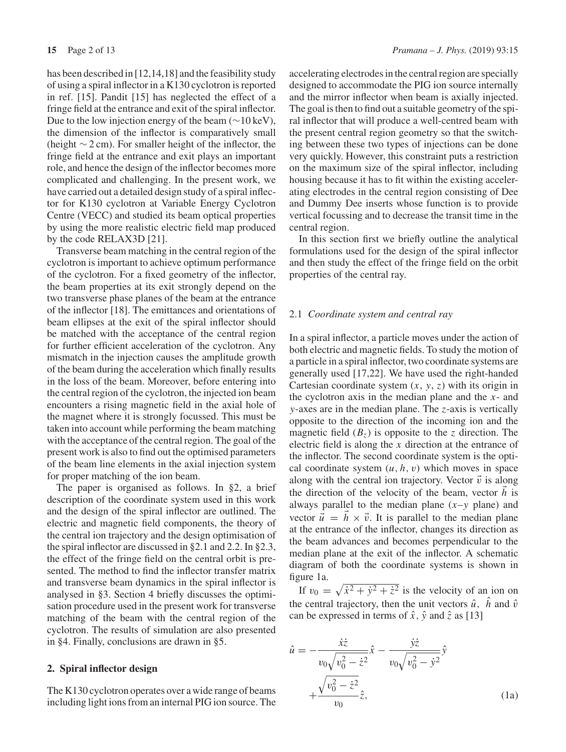has been described in [12,14,18] and the feasibility study of using a spiral inflector in a K130 cyclotron is reported in ref. [15]. Pandit [15] has neglected the effect of a fringe field at the entrance and exit of the spiral inflector. Due to the low injection energy of the beam  $(\sim 10 \,\text{keV})$ , the dimension of the inflector is comparatively small (height ∼ 2 cm). For smaller height of the inflector, the fringe field at the entrance and exit plays an important role, and hence the design of the inflector becomes more complicated and challenging. In the present work, we have carried out a detailed design study of a spiral inflector for K130 cyclotron at Variable Energy Cyclotron Centre (VECC) and studied its beam optical properties by using the more realistic electric field map produced by the code RELAX3D [21].

Transverse beam matching in the central region of the cyclotron is important to achieve optimum performance of the cyclotron. For a fixed geometry of the inflector, the beam properties at its exit strongly depend on the two transverse phase planes of the beam at the entrance of the inflector [18]. The emittances and orientations of beam ellipses at the exit of the spiral inflector should be matched with the acceptance of the central region for further efficient acceleration of the cyclotron. Any mismatch in the injection causes the amplitude growth of the beam during the acceleration which finally results in the loss of the beam. Moreover, before entering into the central region of the cyclotron, the injected ion beam encounters a rising magnetic field in the axial hole of the magnet where it is strongly focussed. This must be taken into account while performing the beam matching with the acceptance of the central region. The goal of the present work is also to find out the optimised parameters of the beam line elements in the axial injection system for proper matching of the ion beam.

The paper is organised as follows. In §2, a brief description of the coordinate system used in this work and the design of the spiral inflector are outlined. The electric and magnetic field components, the theory of the central ion trajectory and the design optimisation of the spiral inflector are discussed in §2.1 and 2.2. In §2.3, the effect of the fringe field on the central orbit is presented. The method to find the inflector transfer matrix and transverse beam dynamics in the spiral inflector is analysed in §3. Section 4 briefly discusses the optimisation procedure used in the present work for transverse matching of the beam with the central region of the cyclotron. The results of simulation are also presented in §4. Finally, conclusions are drawn in §5.

## **2. Spiral inflector design**

The K130 cyclotron operates over a wide range of beams including light ions from an internal PIG ion source. The accelerating electrodes in the central region are specially designed to accommodate the PIG ion source internally and the mirror inflector when beam is axially injected. The goal is then to find out a suitable geometry of the spiral inflector that will produce a well-centred beam with the present central region geometry so that the switching between these two types of injections can be done very quickly. However, this constraint puts a restriction on the maximum size of the spiral inflector, including housing because it has to fit within the existing accelerating electrodes in the central region consisting of Dee and Dummy Dee inserts whose function is to provide vertical focussing and to decrease the transit time in the central region.

In this section first we briefly outline the analytical formulations used for the design of the spiral inflector and then study the effect of the fringe field on the orbit properties of the central ray.

## 2.1 *Coordinate system and central ray*

In a spiral inflector, a particle moves under the action of both electric and magnetic fields. To study the motion of a particle in a spiral inflector, two coordinate systems are generally used [17,22]. We have used the right-handed Cartesian coordinate system (*x*, *y*, *z*) with its origin in the cyclotron axis in the median plane and the *x*- and *y*-axes are in the median plane. The *z*-axis is vertically opposite to the direction of the incoming ion and the magnetic field  $(B_z)$  is opposite to the *z* direction. The electric field is along the *x* direction at the entrance of the inflector. The second coordinate system is the optical coordinate system  $(u, h, v)$  which moves in space along with the central ion trajectory. Vector  $\vec{v}$  is along the direction of the velocity of the beam, vector *h* is always parallel to the median plane  $(x-y)$  plane) and vector  $\vec{u} = \vec{h} \times \vec{v}$ . It is parallel to the median plane at the entrance of the inflector, changes its direction as the beam advances and becomes perpendicular to the median plane at the exit of the inflector. A schematic diagram of both the coordinate systems is shown in figure 1a.

If  $v_0 = \sqrt{\dot{x}^2 + \dot{y}^2 + \dot{z}^2}$  is the velocity of an ion on the central trajectory, then the unit vectors  $\hat{u}$ ,  $\hat{h}$  and  $\hat{v}$ can be expressed in terms of  $\hat{x}$ ,  $\hat{y}$  and  $\hat{z}$  as [13]

$$
\hat{u} = -\frac{\dot{x}\dot{z}}{v_0\sqrt{v_0^2 - \dot{z}^2}}\hat{x} - \frac{\dot{y}\dot{z}}{v_0\sqrt{v_0^2 - \dot{y}^2}}\hat{y} \n+ \frac{\sqrt{v_0^2 - \dot{z}^2}}{v_0}\hat{z},
$$
\n(1a)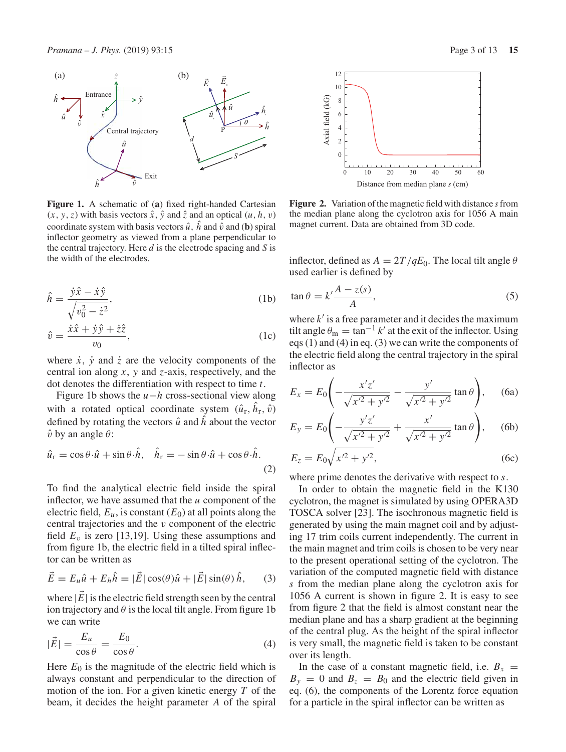

**Figure 1.** A schematic of (**a**) fixed right-handed Cartesian  $(x, y, z)$  with basis vectors  $\hat{x}$ ,  $\hat{y}$  and  $\hat{z}$  and an optical  $(u, h, v)$ coordinate system with basis vectors  $\hat{u}$ ,  $\hat{h}$  and  $\hat{v}$  and (**b**) spiral inflector geometry as viewed from a plane perpendicular to the central trajectory. Here *d* is the electrode spacing and *S* is the width of the electrodes.

$$
\hat{h} = \frac{\dot{y}\hat{x} - \dot{x}\hat{y}}{\sqrt{v_0^2 - \dot{z}^2}},\tag{1b}
$$

$$
\hat{v} = \frac{\dot{x}\hat{x} + \dot{y}\hat{y} + \dot{z}\hat{z}}{v_0},
$$
\n(1c)

where  $\dot{x}$ ,  $\dot{y}$  and  $\dot{z}$  are the velocity components of the central ion along *x*, *y* and *z*-axis, respectively, and the dot denotes the differentiation with respect to time *t*.

Figure 1b shows the *u*−*h* cross-sectional view along with a rotated optical coordinate system  $(\hat{u}_r, \hat{h}_r, \hat{v})$ defined by rotating the vectors  $\hat{u}$  and  $\hat{h}$  about the vector  $\hat{v}$  by an angle  $\theta$ :

$$
\hat{u}_{\rm r} = \cos\theta \cdot \hat{u} + \sin\theta \cdot \hat{h}, \quad \hat{h}_{\rm r} = -\sin\theta \cdot \hat{u} + \cos\theta \cdot \hat{h}.
$$
\n(2)

To find the analytical electric field inside the spiral inflector, we have assumed that the *u* component of the electric field,  $E_u$ , is constant  $(E_0)$  at all points along the central trajectories and the v component of the electric field  $E_v$  is zero [13,19]. Using these assumptions and from figure 1b, the electric field in a tilted spiral inflector can be written as

$$
\vec{E} = E_u \hat{u} + E_h \hat{h} = |\vec{E}| \cos(\theta) \hat{u} + |\vec{E}| \sin(\theta) \hat{h}, \qquad (3)
$$

where  $|\vec{E}|$  is the electric field strength seen by the central ion trajectory and  $\theta$  is the local tilt angle. From figure 1b we can write

$$
|\vec{E}| = \frac{E_u}{\cos \theta} = \frac{E_0}{\cos \theta}.
$$
\n(4)

Here  $E_0$  is the magnitude of the electric field which is always constant and perpendicular to the direction of motion of the ion. For a given kinetic energy *T* of the beam, it decides the height parameter *A* of the spiral



**Figure 2.** Variation of the magnetic field with distance *s*from the median plane along the cyclotron axis for 1056 A main magnet current. Data are obtained from 3D code.

inflector, defined as  $A = 2T/qE_0$ . The local tilt angle  $\theta$ used earlier is defined by

$$
\tan \theta = k' \frac{A - z(s)}{A},\tag{5}
$$

where  $k'$  is a free parameter and it decides the maximum tilt angle  $\theta_m = \tan^{-1} k'$  at the exit of the inflector. Using eqs (1) and (4) in eq. (3) we can write the components of the electric field along the central trajectory in the spiral inflector as

$$
E_x = E_0 \left( -\frac{x'z'}{\sqrt{x'^2 + y'^2}} - \frac{y'}{\sqrt{x'^2 + y'^2}} \tan \theta \right), \quad \text{(6a)}
$$

$$
E_y = E_0 \left( -\frac{y'z'}{\sqrt{x'^2 + y'^2}} + \frac{x'}{\sqrt{x'^2 + y'^2}} \tan \theta \right), \quad \text{(6b)}
$$

$$
E_z = E_0 \sqrt{x'^2 + y'^2},
$$
 (6c)

where prime denotes the derivative with respect to *s*.

In order to obtain the magnetic field in the K130 cyclotron, the magnet is simulated by using OPERA3D TOSCA solver [23]. The isochronous magnetic field is generated by using the main magnet coil and by adjusting 17 trim coils current independently. The current in the main magnet and trim coils is chosen to be very near to the present operational setting of the cyclotron. The variation of the computed magnetic field with distance *s* from the median plane along the cyclotron axis for 1056 A current is shown in figure 2. It is easy to see from figure 2 that the field is almost constant near the median plane and has a sharp gradient at the beginning of the central plug. As the height of the spiral inflector is very small, the magnetic field is taken to be constant over its length.

In the case of a constant magnetic field, i.e.  $B_x$  =  $B_y = 0$  and  $B_z = B_0$  and the electric field given in eq. (6), the components of the Lorentz force equation for a particle in the spiral inflector can be written as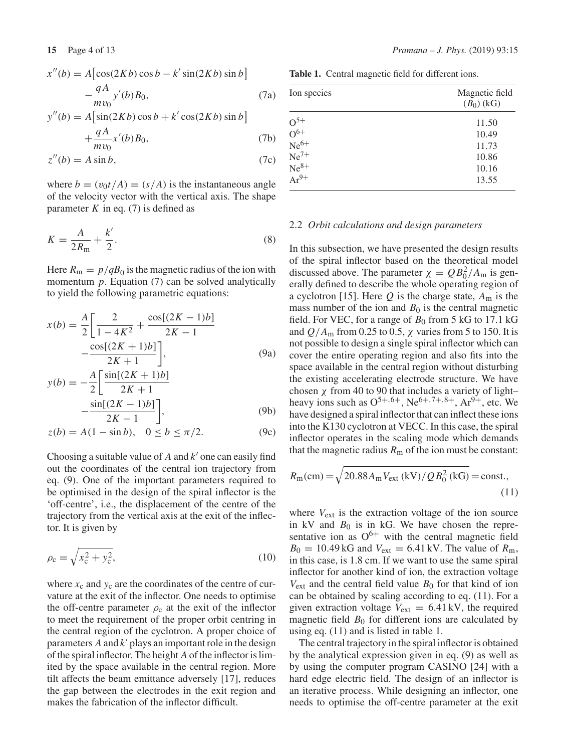$$
x''(b) = A\left[\cos(2Kb)\cos b - k'\sin(2Kb)\sin b\right]
$$

$$
-\frac{qA}{mv_0}y'(b)B_0,
$$
(7a)

$$
y''(b) = A[\sin(2Kb)\cos b + k'\cos(2Kb)\sin b]
$$
  
qA

$$
+\frac{qA}{mv_0}x'(b)B_0,
$$
\t(7b)

$$
z''(b) = A \sin b,\tag{7c}
$$

where  $b = (v_0 t/A) = (s/A)$  is the instantaneous angle of the velocity vector with the vertical axis. The shape parameter  $K$  in eq. (7) is defined as

$$
K = \frac{A}{2R_{\rm m}} + \frac{k'}{2}.\tag{8}
$$

Here  $R_m = p/qB_0$  is the magnetic radius of the ion with momentum *p*. Equation (7) can be solved analytically to yield the following parametric equations:

$$
x(b) = \frac{A}{2} \left[ \frac{2}{1 - 4K^2} + \frac{\cos[(2K - 1)b]}{2K - 1} - \frac{\cos[(2K + 1)b]}{2K + 1} \right],
$$
 (9a)  

$$
A \sin[(2K + 1)b]
$$

$$
y(b) = -\frac{A}{2} \left[ \frac{\sin[(2K+1)b]}{2K+1} - \frac{\sin[(2K-1)b]}{2K-1} \right],
$$
 (9b)

$$
z(b) = A(1 - \sin b), \quad 0 \le b \le \pi/2.
$$
 (9c)

Choosing a suitable value of  $A$  and  $k'$  one can easily find out the coordinates of the central ion trajectory from eq. (9). One of the important parameters required to be optimised in the design of the spiral inflector is the 'off-centre', i.e., the displacement of the centre of the trajectory from the vertical axis at the exit of the inflector. It is given by

$$
\rho_{\rm c} = \sqrt{x_{\rm c}^2 + y_{\rm c}^2},\tag{10}
$$

where  $x_c$  and  $y_c$  are the coordinates of the centre of curvature at the exit of the inflector. One needs to optimise the off-centre parameter  $\rho_c$  at the exit of the inflector to meet the requirement of the proper orbit centring in the central region of the cyclotron. A proper choice of parameters  $A$  and  $k'$  plays an important role in the design of the spiral inflector. The height *A* of the inflector is limited by the space available in the central region. More tilt affects the beam emittance adversely [17], reduces the gap between the electrodes in the exit region and makes the fabrication of the inflector difficult.

**Table 1.** Central magnetic field for different ions.

| Ion species          | Magnetic field<br>$(B_0)$ (kG) |
|----------------------|--------------------------------|
|                      | 11.50                          |
| $O^{5+}$<br>$O^{6+}$ | 10.49                          |
| $Ne^{6+}$            | 11.73                          |
| $Ne7+$               | 10.86                          |
| $Ne^{8+}$            | 10.16                          |
| $Ar^{9+}$            | 13.55                          |

# 2.2 *Orbit calculations and design parameters*

In this subsection, we have presented the design results of the spiral inflector based on the theoretical model discussed above. The parameter  $\chi = Q B_0^2 / A_{\rm m}$  is generally defined to describe the whole operating region of a cyclotron [15]. Here  $Q$  is the charge state,  $A_m$  is the mass number of the ion and  $B_0$  is the central magnetic field. For VEC, for a range of  $B_0$  from 5 kG to 17.1 kG and  $Q/A<sub>m</sub>$  from 0.25 to 0.5,  $\chi$  varies from 5 to 150. It is not possible to design a single spiral inflector which can cover the entire operating region and also fits into the space available in the central region without disturbing the existing accelerating electrode structure. We have chosen  $\chi$  from 40 to 90 that includes a variety of light– heavy ions such as  $O^{5+,6+}$ , Ne<sup>6+,7+,8+</sup>, Ar<sup>9+</sup>, etc. We have designed a spiral inflector that can inflect these ions into the K130 cyclotron at VECC. In this case, the spiral inflector operates in the scaling mode which demands that the magnetic radius  $R<sub>m</sub>$  of the ion must be constant:

$$
R_{\rm m}(\text{cm}) = \sqrt{20.88A_{\rm m}V_{\rm ext}(\text{kV})/QB_0^2(\text{kG})} = \text{const.},\tag{11}
$$

where  $V_{ext}$  is the extraction voltage of the ion source in kV and  $B_0$  is in kG. We have chosen the representative ion as  $O^{6+}$  with the central magnetic field  $B_0 = 10.49 \text{ kG}$  and  $V_{ext} = 6.41 \text{ kV}$ . The value of  $R_{\text{m}}$ , in this case, is 1.8 cm. If we want to use the same spiral inflector for another kind of ion, the extraction voltage  $V_{ext}$  and the central field value  $B_0$  for that kind of ion can be obtained by scaling according to eq. (11). For a given extraction voltage  $V_{ext} = 6.41 \text{ kV}$ , the required magnetic field  $B_0$  for different ions are calculated by using eq. (11) and is listed in table 1.

The central trajectory in the spiral inflector is obtained by the analytical expression given in eq. (9) as well as by using the computer program CASINO [24] with a hard edge electric field. The design of an inflector is an iterative process. While designing an inflector, one needs to optimise the off-centre parameter at the exit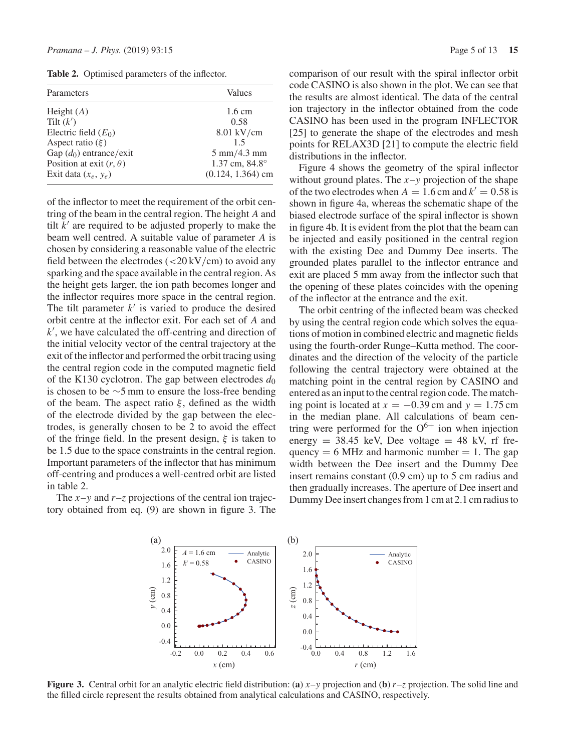**Table 2.** Optimised parameters of the inflector.

| Parameters                     | Values<br>$1.6 \text{ cm}$    |  |
|--------------------------------|-------------------------------|--|
| Height $(A)$                   |                               |  |
| Tilt $(k')$                    | 0.58                          |  |
| Electric field $(E_0)$         | 8.01 kV/cm                    |  |
| Aspect ratio $(\xi)$           | 15                            |  |
| Gap $(d_0)$ entrance/exit      | $5 \text{ mm}/4.3 \text{ mm}$ |  |
| Position at exit $(r, \theta)$ | 1.37 cm, 84.8°                |  |
| Exit data $(x_e, y_e)$         | $(0.124, 1.364)$ cm           |  |

of the inflector to meet the requirement of the orbit centring of the beam in the central region. The height *A* and tilt  $k'$  are required to be adjusted properly to make the beam well centred. A suitable value of parameter *A* is chosen by considering a reasonable value of the electric field between the electrodes  $\left( \frac{20 \text{ kV}}{\text{cm}} \right)$  to avoid any sparking and the space available in the central region. As the height gets larger, the ion path becomes longer and the inflector requires more space in the central region. The tilt parameter  $k'$  is varied to produce the desired orbit centre at the inflector exit. For each set of *A* and *k* , we have calculated the off-centring and direction of the initial velocity vector of the central trajectory at the exit of the inflector and performed the orbit tracing using the central region code in the computed magnetic field of the K130 cyclotron. The gap between electrodes  $d_0$ is chosen to be ∼5 mm to ensure the loss-free bending of the beam. The aspect ratio  $\xi$ , defined as the width of the electrode divided by the gap between the electrodes, is generally chosen to be 2 to avoid the effect of the fringe field. In the present design,  $\xi$  is taken to be 1.5 due to the space constraints in the central region. Important parameters of the inflector that has minimum off-centring and produces a well-centred orbit are listed in table 2.

The  $x-y$  and  $r-z$  projections of the central ion trajectory obtained from eq. (9) are shown in figure 3. The comparison of our result with the spiral inflector orbit code CASINO is also shown in the plot. We can see that the results are almost identical. The data of the central ion trajectory in the inflector obtained from the code CASINO has been used in the program INFLECTOR [25] to generate the shape of the electrodes and mesh points for RELAX3D [21] to compute the electric field distributions in the inflector.

Figure 4 shows the geometry of the spiral inflector without ground plates. The *x*–*y* projection of the shape of the two electrodes when  $A = 1.6$  cm and  $k' = 0.58$  is shown in figure 4a, whereas the schematic shape of the biased electrode surface of the spiral inflector is shown in figure 4b. It is evident from the plot that the beam can be injected and easily positioned in the central region with the existing Dee and Dummy Dee inserts. The grounded plates parallel to the inflector entrance and exit are placed 5 mm away from the inflector such that the opening of these plates coincides with the opening of the inflector at the entrance and the exit.

The orbit centring of the inflected beam was checked by using the central region code which solves the equations of motion in combined electric and magnetic fields using the fourth-order Runge–Kutta method. The coordinates and the direction of the velocity of the particle following the central trajectory were obtained at the matching point in the central region by CASINO and entered as an input to the central region code. The matching point is located at  $x = -0.39$  cm and  $y = 1.75$  cm in the median plane. All calculations of beam centring were performed for the  $O^{6+}$  ion when injection energy  $= 38.45$  keV, Dee voltage  $= 48$  kV, rf frequency  $= 6$  MHz and harmonic number  $= 1$ . The gap width between the Dee insert and the Dummy Dee insert remains constant (0.9 cm) up to 5 cm radius and then gradually increases. The aperture of Dee insert and Dummy Dee insert changes from 1 cm at 2.1 cm radius to



**Figure 3.** Central orbit for an analytic electric field distribution: (**a**) *x*–*y* projection and (**b**) *r*–*z* projection. The solid line and the filled circle represent the results obtained from analytical calculations and CASINO, respectively.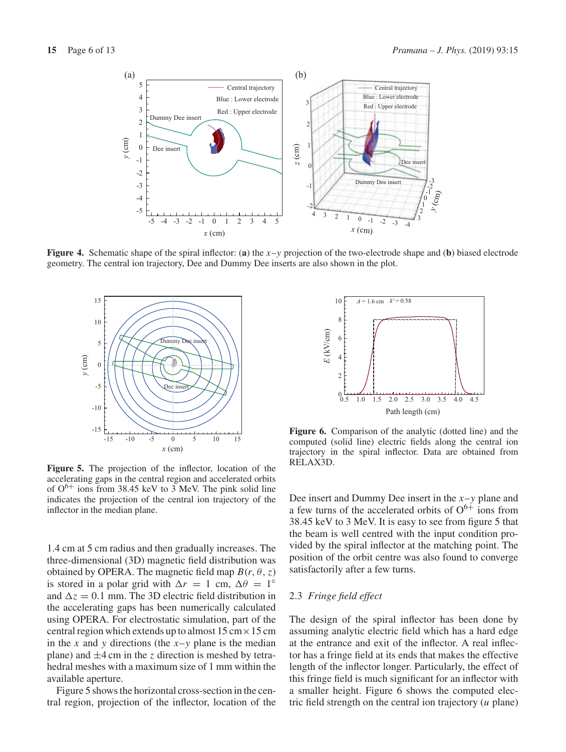

**Figure 4.** Schematic shape of the spiral inflector: (**a**) the *x*–*y* projection of the two-electrode shape and (**b**) biased electrode geometry. The central ion trajectory, Dee and Dummy Dee inserts are also shown in the plot.



**Figure 5.** The projection of the inflector, location of the accelerating gaps in the central region and accelerated orbits of  $O^{6+}$  ions from 38.45 keV to 3 MeV. The pink solid line indicates the projection of the central ion trajectory of the inflector in the median plane.

1.4 cm at 5 cm radius and then gradually increases. The three-dimensional (3D) magnetic field distribution was obtained by OPERA. The magnetic field map  $B(r, \theta, z)$ is stored in a polar grid with  $\Delta r = 1$  cm,  $\Delta \theta = 1^\circ$ and  $\Delta z = 0.1$  mm. The 3D electric field distribution in the accelerating gaps has been numerically calculated using OPERA. For electrostatic simulation, part of the central region which extends up to almost  $15 \text{ cm} \times 15 \text{ cm}$ in the *x* and *y* directions (the  $x-y$  plane is the median plane) and  $\pm 4$  cm in the *z* direction is meshed by tetrahedral meshes with a maximum size of 1 mm within the available aperture.

Figure 5 shows the horizontal cross-section in the central region, projection of the inflector, location of the



**Figure 6.** Comparison of the analytic (dotted line) and the computed (solid line) electric fields along the central ion trajectory in the spiral inflector. Data are obtained from RELAX3D.

Dee insert and Dummy Dee insert in the *x*–*y* plane and a few turns of the accelerated orbits of  $O^{6+}$  ions from 38.45 keV to 3 MeV. It is easy to see from figure 5 that the beam is well centred with the input condition provided by the spiral inflector at the matching point. The position of the orbit centre was also found to converge satisfactorily after a few turns.

# 2.3 *Fringe field effect*

The design of the spiral inflector has been done by assuming analytic electric field which has a hard edge at the entrance and exit of the inflector. A real inflector has a fringe field at its ends that makes the effective length of the inflector longer. Particularly, the effect of this fringe field is much significant for an inflector with a smaller height. Figure 6 shows the computed electric field strength on the central ion trajectory (*u* plane)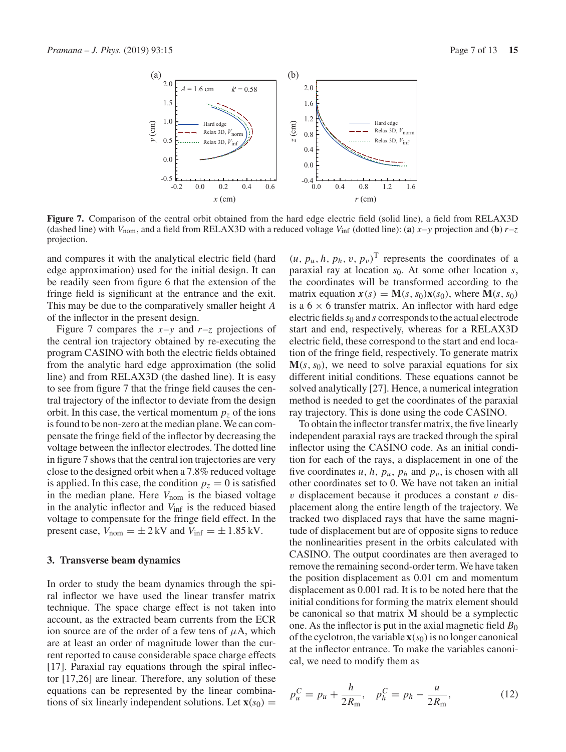

**Figure 7.** Comparison of the central orbit obtained from the hard edge electric field (solid line), a field from RELAX3D (dashed line) with  $V_{\text{nom}}$ , and a field from RELAX3D with a reduced voltage  $V_{\text{inf}}$  (dotted line): (a)  $x - y$  projection and (b)  $r - z$ projection.

and compares it with the analytical electric field (hard edge approximation) used for the initial design. It can be readily seen from figure 6 that the extension of the fringe field is significant at the entrance and the exit. This may be due to the comparatively smaller height *A* of the inflector in the present design.

Figure 7 compares the  $x-y$  and  $r-z$  projections of the central ion trajectory obtained by re-executing the program CASINO with both the electric fields obtained from the analytic hard edge approximation (the solid line) and from RELAX3D (the dashed line). It is easy to see from figure 7 that the fringe field causes the central trajectory of the inflector to deviate from the design orbit. In this case, the vertical momentum  $p<sub>z</sub>$  of the ions is found to be non-zero at the median plane. We can compensate the fringe field of the inflector by decreasing the voltage between the inflector electrodes. The dotted line in figure 7 shows that the central ion trajectories are very close to the designed orbit when a 7.8% reduced voltage is applied. In this case, the condition  $p_z = 0$  is satisfied in the median plane. Here  $V_{\text{nom}}$  is the biased voltage in the analytic inflector and *V*inf is the reduced biased voltage to compensate for the fringe field effect. In the present case,  $V_{\text{nom}} = \pm 2 \,\text{kV}$  and  $V_{\text{inf}} = \pm 1.85 \,\text{kV}$ .

#### **3. Transverse beam dynamics**

In order to study the beam dynamics through the spiral inflector we have used the linear transfer matrix technique. The space charge effect is not taken into account, as the extracted beam currents from the ECR ion source are of the order of a few tens of  $\mu$ A, which are at least an order of magnitude lower than the current reported to cause considerable space charge effects [17]. Paraxial ray equations through the spiral inflector [17,26] are linear. Therefore, any solution of these equations can be represented by the linear combinations of six linearly independent solutions. Let  $\mathbf{x}(s_0)$  =

 $(u, p_u, h, p_h, v, p_v)^T$  represents the coordinates of a paraxial ray at location *s*0. At some other location *s*, the coordinates will be transformed according to the matrix equation  $\mathbf{x}(s) = \mathbf{M}(s, s_0)\mathbf{x}(s_0)$ , where  $\mathbf{M}(s, s_0)$ is a  $6 \times 6$  transfer matrix. An inflector with hard edge electric fields  $s_0$  and *s* corresponds to the actual electrode start and end, respectively, whereas for a RELAX3D electric field, these correspond to the start and end location of the fringe field, respectively. To generate matrix  $M(s, s_0)$ , we need to solve paraxial equations for six different initial conditions. These equations cannot be solved analytically [27]. Hence, a numerical integration method is needed to get the coordinates of the paraxial ray trajectory. This is done using the code CASINO.

To obtain the inflector transfer matrix, the five linearly independent paraxial rays are tracked through the spiral inflector using the CASINO code. As an initial condition for each of the rays, a displacement in one of the five coordinates  $u$ ,  $h$ ,  $p_u$ ,  $p_h$  and  $p_v$ , is chosen with all other coordinates set to 0. We have not taken an initial  $v$  displacement because it produces a constant  $v$  displacement along the entire length of the trajectory. We tracked two displaced rays that have the same magnitude of displacement but are of opposite signs to reduce the nonlinearities present in the orbits calculated with CASINO. The output coordinates are then averaged to remove the remaining second-order term. We have taken the position displacement as 0.01 cm and momentum displacement as 0.001 rad. It is to be noted here that the initial conditions for forming the matrix element should be canonical so that matrix **M** should be a symplectic one. As the inflector is put in the axial magnetic field  $B_0$ of the cyclotron, the variable  $\mathbf{x}(s_0)$  is no longer canonical at the inflector entrance. To make the variables canonical, we need to modify them as

$$
p_u^C = p_u + \frac{h}{2R_m}, \quad p_h^C = p_h - \frac{u}{2R_m}, \tag{12}
$$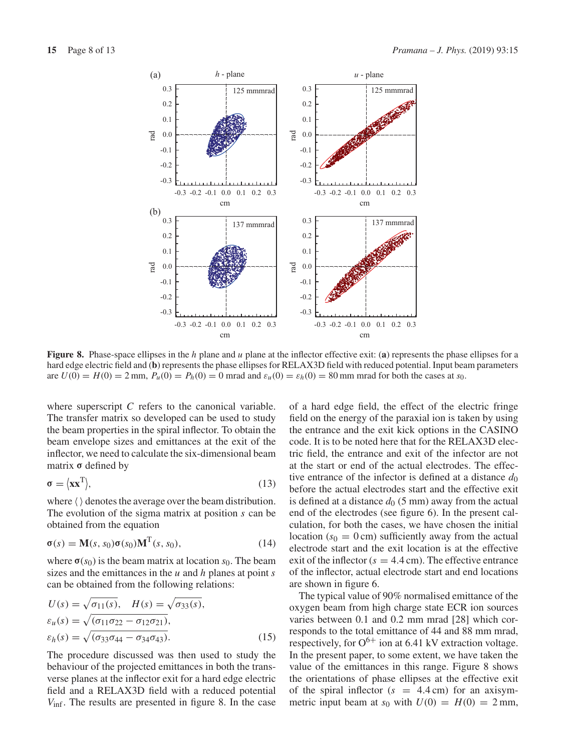

**Figure 8.** Phase-space ellipses in the *h* plane and *u* plane at the inflector effective exit: (**a**) represents the phase ellipses for a hard edge electric field and (**b**) represents the phase ellipses for RELAX3D field with reduced potential. Input beam parameters are  $U(0) = H(0) = 2$  mm,  $P_u(0) = P_h(0) = 0$  mrad and  $\varepsilon_u(0) = \varepsilon_h(0) = 80$  mm mrad for both the cases at *s*<sub>0</sub>.

where superscript *C* refers to the canonical variable. The transfer matrix so developed can be used to study the beam properties in the spiral inflector. To obtain the beam envelope sizes and emittances at the exit of the inflector, we need to calculate the six-dimensional beam matrix **σ** defined by

$$
\sigma = \langle \mathbf{x} \mathbf{x}^{\mathrm{T}} \rangle, \tag{13}
$$

where  $\langle \rangle$  denotes the average over the beam distribution. The evolution of the sigma matrix at position *s* can be obtained from the equation

$$
\sigma(s) = \mathbf{M}(s, s_0)\sigma(s_0)\mathbf{M}^{\mathrm{T}}(s, s_0), \tag{14}
$$

where  $\sigma(s_0)$  is the beam matrix at location  $s_0$ . The beam sizes and the emittances in the *u* and *h* planes at point *s* can be obtained from the following relations:

$$
U(s) = \sqrt{\sigma_{11}(s)}, \quad H(s) = \sqrt{\sigma_{33}(s)},
$$
  
\n
$$
\varepsilon_u(s) = \sqrt{(\sigma_{11}\sigma_{22} - \sigma_{12}\sigma_{21})},
$$
  
\n
$$
\varepsilon_h(s) = \sqrt{(\sigma_{33}\sigma_{44} - \sigma_{34}\sigma_{43})}.
$$
\n(15)

The procedure discussed was then used to study the behaviour of the projected emittances in both the transverse planes at the inflector exit for a hard edge electric field and a RELAX3D field with a reduced potential *V*inf. The results are presented in figure 8. In the case

of a hard edge field, the effect of the electric fringe field on the energy of the paraxial ion is taken by using the entrance and the exit kick options in the CASINO code. It is to be noted here that for the RELAX3D electric field, the entrance and exit of the infector are not at the start or end of the actual electrodes. The effective entrance of the infector is defined at a distance  $d_0$ before the actual electrodes start and the effective exit is defined at a distance  $d_0$  (5 mm) away from the actual end of the electrodes (see figure 6). In the present calculation, for both the cases, we have chosen the initial location  $(s_0 = 0 \text{ cm})$  sufficiently away from the actual electrode start and the exit location is at the effective exit of the inflector  $(s = 4.4 \text{ cm})$ . The effective entrance of the inflector, actual electrode start and end locations are shown in figure 6.

The typical value of 90% normalised emittance of the oxygen beam from high charge state ECR ion sources varies between 0.1 and 0.2 mm mrad [28] which corresponds to the total emittance of 44 and 88 mm mrad, respectively, for  $O^{6+}$  ion at 6.41 kV extraction voltage. In the present paper, to some extent, we have taken the value of the emittances in this range. Figure 8 shows the orientations of phase ellipses at the effective exit of the spiral inflector  $(s = 4.4 \text{ cm})$  for an axisymmetric input beam at  $s_0$  with  $U(0) = H(0) = 2$  mm,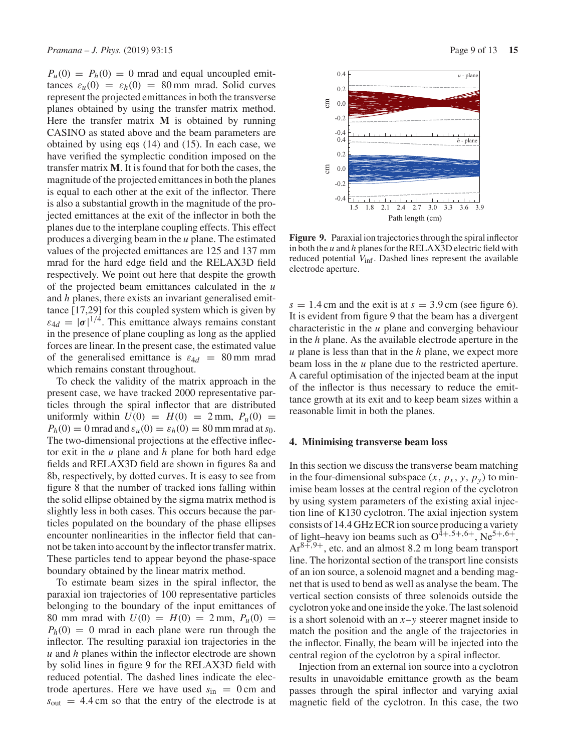$P_u(0) = P_h(0) = 0$  mrad and equal uncoupled emittances  $\varepsilon_u(0) = \varepsilon_h(0) = 80$  mm mrad. Solid curves represent the projected emittances in both the transverse planes obtained by using the transfer matrix method. Here the transfer matrix **M** is obtained by running CASINO as stated above and the beam parameters are obtained by using eqs (14) and (15). In each case, we have verified the symplectic condition imposed on the transfer matrix **M**. It is found that for both the cases, the magnitude of the projected emittances in both the planes is equal to each other at the exit of the inflector. There is also a substantial growth in the magnitude of the projected emittances at the exit of the inflector in both the planes due to the interplane coupling effects. This effect produces a diverging beam in the *u* plane. The estimated values of the projected emittances are 125 and 137 mm mrad for the hard edge field and the RELAX3D field respectively. We point out here that despite the growth of the projected beam emittances calculated in the *u* and *h* planes, there exists an invariant generalised emittance [17,29] for this coupled system which is given by  $\varepsilon_{4d} = |\sigma|^{1/4}$ . This emittance always remains constant in the presence of plane coupling as long as the applied forces are linear. In the present case, the estimated value of the generalised emittance is  $\varepsilon_{4d}$  = 80 mm mrad which remains constant throughout.

To check the validity of the matrix approach in the present case, we have tracked 2000 representative particles through the spiral inflector that are distributed uniformly within  $U(0) = H(0) = 2$  mm,  $P_u(0) =$ *P<sub>h</sub>*(0) = 0 mrad and  $\varepsilon_u$ (0) =  $\varepsilon_h$ (0) = 80 mm mrad at *s*<sub>0</sub>. The two-dimensional projections at the effective inflector exit in the *u* plane and *h* plane for both hard edge fields and RELAX3D field are shown in figures 8a and 8b, respectively, by dotted curves. It is easy to see from figure 8 that the number of tracked ions falling within the solid ellipse obtained by the sigma matrix method is slightly less in both cases. This occurs because the particles populated on the boundary of the phase ellipses encounter nonlinearities in the inflector field that cannot be taken into account by the inflector transfer matrix. These particles tend to appear beyond the phase-space boundary obtained by the linear matrix method.

To estimate beam sizes in the spiral inflector, the paraxial ion trajectories of 100 representative particles belonging to the boundary of the input emittances of 80 mm mrad with  $U(0) = H(0) = 2$  mm,  $P_u(0) =$  $P_h(0) = 0$  mrad in each plane were run through the inflector. The resulting paraxial ion trajectories in the *u* and *h* planes within the inflector electrode are shown by solid lines in figure 9 for the RELAX3D field with reduced potential. The dashed lines indicate the electrode apertures. Here we have used  $s_{in} = 0$  cm and  $s<sub>out</sub> = 4.4$  cm so that the entry of the electrode is at



**Figure 9.** Paraxial ion trajectories through the spiral inflector in both the *u* and *h* planes for the RELAX3D electric field with reduced potential *V*inf. Dashed lines represent the available electrode aperture.

 $s = 1.4$  cm and the exit is at  $s = 3.9$  cm (see figure 6). It is evident from figure 9 that the beam has a divergent characteristic in the *u* plane and converging behaviour in the *h* plane. As the available electrode aperture in the *u* plane is less than that in the *h* plane, we expect more beam loss in the *u* plane due to the restricted aperture. A careful optimisation of the injected beam at the input of the inflector is thus necessary to reduce the emittance growth at its exit and to keep beam sizes within a reasonable limit in both the planes.

#### **4. Minimising transverse beam loss**

In this section we discuss the transverse beam matching in the four-dimensional subspace  $(x, p_x, y, p_y)$  to minimise beam losses at the central region of the cyclotron by using system parameters of the existing axial injection line of K130 cyclotron. The axial injection system consists of 14.4 GHz ECR ion source producing a variety of light–heavy ion beams such as  $O^{\hat{4}+,5+,6+}$ , Ne<sup>5+,6+</sup>,  $Ar^{8+,9+}$ , etc. and an almost 8.2 m long beam transport line. The horizontal section of the transport line consists of an ion source, a solenoid magnet and a bending magnet that is used to bend as well as analyse the beam. The vertical section consists of three solenoids outside the cyclotron yoke and one inside the yoke. The last solenoid is a short solenoid with an *x*–*y* steerer magnet inside to match the position and the angle of the trajectories in the inflector. Finally, the beam will be injected into the central region of the cyclotron by a spiral inflector.

Injection from an external ion source into a cyclotron results in unavoidable emittance growth as the beam passes through the spiral inflector and varying axial magnetic field of the cyclotron. In this case, the two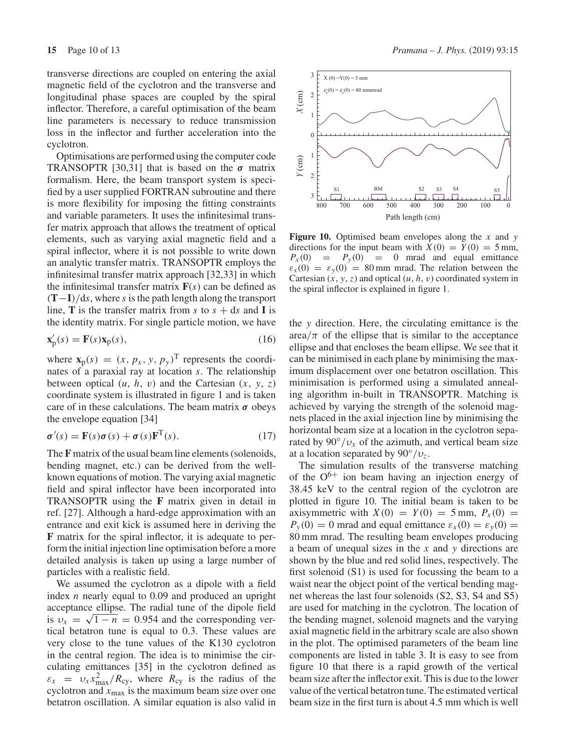transverse directions are coupled on entering the axial magnetic field of the cyclotron and the transverse and longitudinal phase spaces are coupled by the spiral inflector. Therefore, a careful optimisation of the beam line parameters is necessary to reduce transmission loss in the inflector and further acceleration into the cyclotron.

Optimisations are performed using the computer code TRANSOPTR [30,31] that is based on the *σ* matrix formalism. Here, the beam transport system is specified by a user supplied FORTRAN subroutine and there is more flexibility for imposing the fitting constraints and variable parameters. It uses the infinitesimal transfer matrix approach that allows the treatment of optical elements, such as varying axial magnetic field and a spiral inflector, where it is not possible to write down an analytic transfer matrix. TRANSOPTR employs the infinitesimal transfer matrix approach [32,33] in which the infinitesimal transfer matrix  $F(s)$  can be defined as (**T**−**I**)/d*s*, where *s* is the path length along the transport line, **T** is the transfer matrix from *s* to  $s + ds$  and **I** is the identity matrix. For single particle motion, we have

$$
\mathbf{x}'_{p}(s) = \mathbf{F}(s)\mathbf{x}_{p}(s),\tag{16}
$$

where  $\mathbf{x}_p(s) = (x, p_x, y, p_y)^\text{T}$  represents the coordinates of a paraxial ray at location *s*. The relationship between optical  $(u, h, v)$  and the Cartesian  $(x, y, z)$ coordinate system is illustrated in figure 1 and is taken care of in these calculations. The beam matrix *σ* obeys the envelope equation [34]

$$
\sigma'(s) = \mathbf{F}(s)\sigma(s) + \sigma(s)\mathbf{F}^{\mathrm{T}}(s).
$$
 (17)

The **F** matrix of the usual beam line elements (solenoids, bending magnet, etc.) can be derived from the wellknown equations of motion. The varying axial magnetic field and spiral inflector have been incorporated into TRANSOPTR using the **F** matrix given in detail in ref. [27]. Although a hard-edge approximation with an entrance and exit kick is assumed here in deriving the **F** matrix for the spiral inflector, it is adequate to perform the initial injection line optimisation before a more detailed analysis is taken up using a large number of particles with a realistic field.

We assumed the cyclotron as a dipole with a field index *n* nearly equal to 0.09 and produced an upright acceptance ellipse. The radial tune of the dipole field is  $v_x = \sqrt{1 - n} = 0.954$  and the corresponding vertical betatron tune is equal to 0.3. These values are very close to the tune values of the K130 cyclotron in the central region. The idea is to minimise the circulating emittances [35] in the cyclotron defined as  $\varepsilon_x = v_x x_{\text{max}}^2 / R_{\text{cy}}$ , where  $R_{\text{cy}}$  is the radius of the cyclotron and  $x_{\text{max}}$  is the maximum beam size over one betatron oscillation. A similar equation is also valid in



**Figure 10.** Optimised beam envelopes along the *x* and *y* directions for the input beam with  $X(0) = Y(0) = 5$  mm,<br> $P_X(0) = P_Y(0) = 0$  mrad and equal emittance  $= 0$  mrad and equal emittance  $\varepsilon_x(0) = \varepsilon_y(0) = 80$  mm mrad. The relation between the Cartesian  $(x, y, z)$  and optical  $(u, h, v)$  coordinated system in the spiral inflector is explained in figure 1.

the *y* direction. Here, the circulating emittance is the  $\arctan \pi$  of the ellipse that is similar to the acceptance ellipse and that encloses the beam ellipse. We see that it can be minimised in each plane by minimising the maximum displacement over one betatron oscillation. This minimisation is performed using a simulated annealing algorithm in-built in TRANSOPTR. Matching is achieved by varying the strength of the solenoid magnets placed in the axial injection line by minimising the horizontal beam size at a location in the cyclotron separated by  $90°/v_x$  of the azimuth, and vertical beam size at a location separated by  $90°/v<sub>z</sub>$ .

The simulation results of the transverse matching of the  $O^{6+}$  ion beam having an injection energy of 38.45 keV to the central region of the cyclotron are plotted in figure 10. The initial beam is taken to be axisymmetric with  $X(0) = Y(0) = 5$  mm,  $P_X(0) =$  $P_y(0) = 0$  mrad and equal emittance  $\varepsilon_x(0) = \varepsilon_y(0) = 0$ 80 mm mrad. The resulting beam envelopes producing a beam of unequal sizes in the *x* and *y* directions are shown by the blue and red solid lines, respectively. The first solenoid (S1) is used for focussing the beam to a waist near the object point of the vertical bending magnet whereas the last four solenoids (S2, S3, S4 and S5) are used for matching in the cyclotron. The location of the bending magnet, solenoid magnets and the varying axial magnetic field in the arbitrary scale are also shown in the plot. The optimised parameters of the beam line components are listed in table 3. It is easy to see from figure 10 that there is a rapid growth of the vertical beam size after the inflector exit. This is due to the lower value of the vertical betatron tune. The estimated vertical beam size in the first turn is about 4.5 mm which is well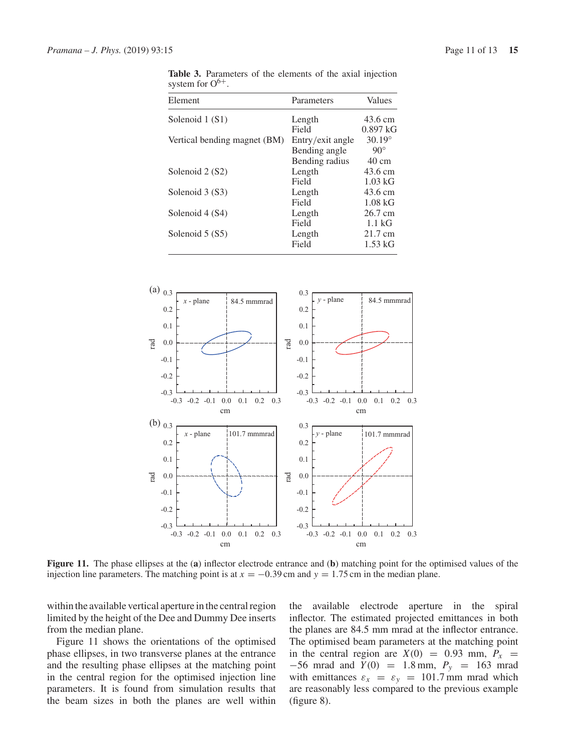**Table 3.** Parameters of the elements of the axial injection system for  $O^{6+}$ .

| Element                      | Parameters       | Values          |
|------------------------------|------------------|-----------------|
| Solenoid 1 (S1)              | Length           | 43.6 cm         |
|                              | Field            | $0.897$ kG      |
| Vertical bending magnet (BM) | Entry/exit angle | $30.19^{\circ}$ |
|                              | Bending angle    | $90^\circ$      |
|                              | Bending radius   | $40 \text{ cm}$ |
| Solenoid 2 (S2)              | Length           | 43.6 cm         |
|                              | Field            | $1.03$ kG       |
| Solenoid 3 (S3)              | Length           | 43.6 cm         |
|                              | Field            | $1.08$ kG       |
| Solenoid 4 (S4)              | Length           | 26.7 cm         |
|                              | Field            | $1.1\text{ kG}$ |
| Solenoid 5 (S5)              | Length           | 21.7 cm         |
|                              | Field            | $1.53$ kG       |



**Figure 11.** The phase ellipses at the (**a**) inflector electrode entrance and (**b**) matching point for the optimised values of the injection line parameters. The matching point is at  $x = -0.39$  cm and  $y = 1.75$  cm in the median plane.

within the available vertical aperture in the central region limited by the height of the Dee and Dummy Dee inserts from the median plane.

Figure 11 shows the orientations of the optimised phase ellipses, in two transverse planes at the entrance and the resulting phase ellipses at the matching point in the central region for the optimised injection line parameters. It is found from simulation results that the beam sizes in both the planes are well within the available electrode aperture in the spiral inflector. The estimated projected emittances in both the planes are 84.5 mm mrad at the inflector entrance. The optimised beam parameters at the matching point in the central region are  $X(0) = 0.93$  mm,  $P_x =$  $-56$  mrad and *Y*(0) = 1.8 mm,  $P_v$  = 163 mrad with emittances  $\varepsilon_x = \varepsilon_y = 101.7$  mm mrad which are reasonably less compared to the previous example (figure 8).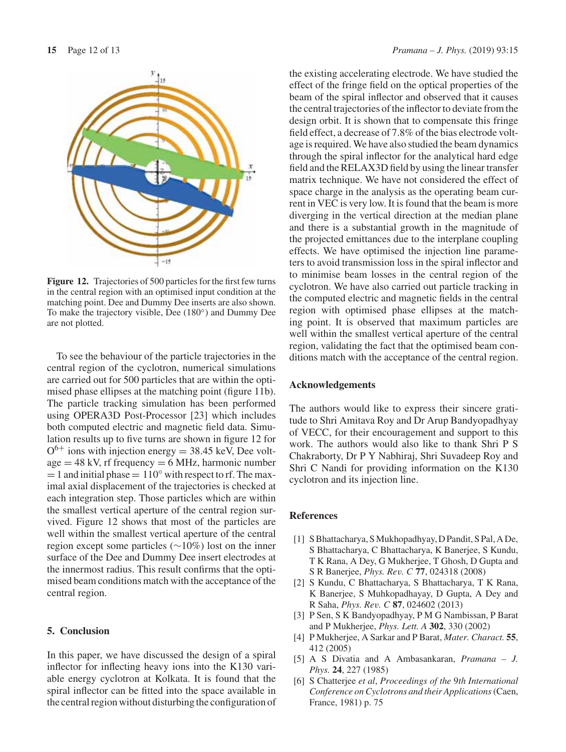

**Figure 12.** Trajectories of 500 particles for the first few turns in the central region with an optimised input condition at the matching point. Dee and Dummy Dee inserts are also shown. To make the trajectory visible, Dee (180◦) and Dummy Dee are not plotted.

To see the behaviour of the particle trajectories in the central region of the cyclotron, numerical simulations are carried out for 500 particles that are within the optimised phase ellipses at the matching point (figure 11b). The particle tracking simulation has been performed using OPERA3D Post-Processor [23] which includes both computed electric and magnetic field data. Simulation results up to five turns are shown in figure 12 for  $O^{6+}$  ions with injection energy = 38.45 keV, Dee volt $age = 48$  kV, rf frequency  $= 6$  MHz, harmonic number  $= 1$  and initial phase  $= 110°$  with respect to rf. The maximal axial displacement of the trajectories is checked at each integration step. Those particles which are within the smallest vertical aperture of the central region survived. Figure 12 shows that most of the particles are well within the smallest vertical aperture of the central region except some particles (∼10%) lost on the inner surface of the Dee and Dummy Dee insert electrodes at the innermost radius. This result confirms that the optimised beam conditions match with the acceptance of the central region.

#### **5. Conclusion**

In this paper, we have discussed the design of a spiral inflector for inflecting heavy ions into the K130 variable energy cyclotron at Kolkata. It is found that the spiral inflector can be fitted into the space available in the central region without disturbing the configuration of the existing accelerating electrode. We have studied the effect of the fringe field on the optical properties of the beam of the spiral inflector and observed that it causes the central trajectories of the inflector to deviate from the design orbit. It is shown that to compensate this fringe field effect, a decrease of 7.8% of the bias electrode voltage is required. We have also studied the beam dynamics through the spiral inflector for the analytical hard edge field and the RELAX3D field by using the linear transfer matrix technique. We have not considered the effect of space charge in the analysis as the operating beam current in VEC is very low. It is found that the beam is more diverging in the vertical direction at the median plane and there is a substantial growth in the magnitude of the projected emittances due to the interplane coupling effects. We have optimised the injection line parameters to avoid transmission loss in the spiral inflector and to minimise beam losses in the central region of the cyclotron. We have also carried out particle tracking in the computed electric and magnetic fields in the central region with optimised phase ellipses at the matching point. It is observed that maximum particles are well within the smallest vertical aperture of the central region, validating the fact that the optimised beam conditions match with the acceptance of the central region.

#### **Acknowledgements**

The authors would like to express their sincere gratitude to Shri Amitava Roy and Dr Arup Bandyopadhyay of VECC, for their encouragement and support to this work. The authors would also like to thank Shri P S Chakraborty, Dr P Y Nabhiraj, Shri Suvadeep Roy and Shri C Nandi for providing information on the K130 cyclotron and its injection line.

#### **References**

- [1] S Bhattacharya, S Mukhopadhyay, D Pandit, S Pal, A De, S Bhattacharya, C Bhattacharya, K Banerjee, S Kundu, T K Rana, A Dey, G Mukherjee, T Ghosh, D Gupta and S R Banerjee, *Phys. Rev. C* **77**, 024318 (2008)
- [2] S Kundu, C Bhattacharya, S Bhattacharya, T K Rana, K Banerjee, S Muhkopadhayay, D Gupta, A Dey and R Saha, *Phys. Rev. C* **87**, 024602 (2013)
- [3] P Sen, S K Bandyopadhyay, P M G Nambissan, P Barat and P Mukherjee, *Phys. Lett. A* **302**, 330 (2002)
- [4] P Mukherjee, A Sarkar and P Barat, *Mater. Charact.* **55**, 412 (2005)
- [5] A S Divatia and A Ambasankaran, *Pramana J. Phys.* **24**, 227 (1985)
- [6] S Chatterjee *et al*, *Proceedings of the* 9*th International Conference on Cyclotrons and their Applications*(Caen, France, 1981) p. 75